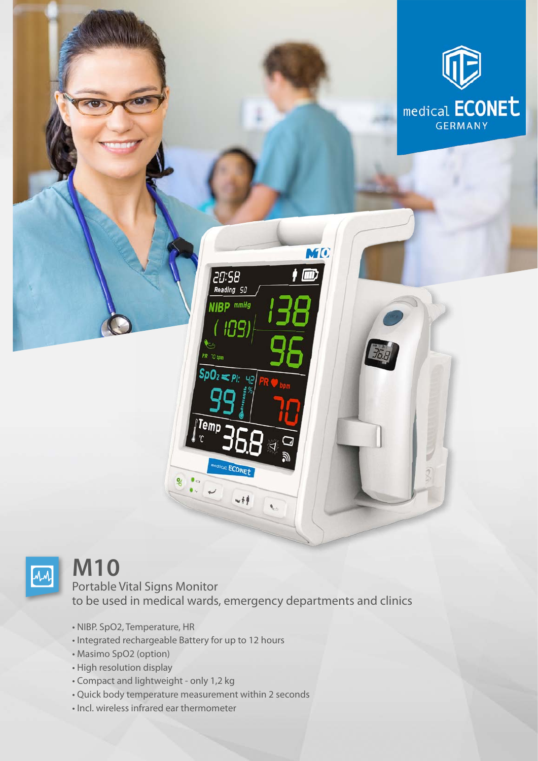



## **M10**

## Portable Vital Signs Monitor to be used in medical wards, emergency departments and clinics

 $-14$ 

- NIBP. SpO2, Temperature, HR
- Integrated rechargeable Battery for up to 12 hours
- Masimo SpO2 (option)
- High resolution display
- Compact and lightweight only 1,2 kg
- Quick body temperature measurement within 2 seconds
- Incl. wireless infrared ear thermometer